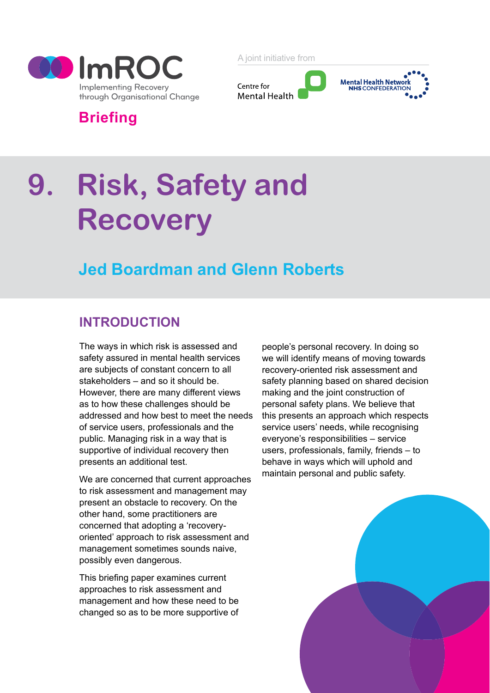

A joint initiative from



# **Briefing**

# **9. Risk, Safety and Recovery**

# **Jed Boardman and Glenn Roberts**

# **INTRODUCTION**

The ways in which risk is assessed and safety assured in mental health services are subjects of constant concern to all stakeholders – and so it should be. However, there are many different views as to how these challenges should be addressed and how best to meet the needs of service users, professionals and the public. Managing risk in a way that is supportive of individual recovery then presents an additional test.

We are concerned that current approaches to risk assessment and management may present an obstacle to recovery. On the other hand, some practitioners are concerned that adopting a 'recoveryoriented' approach to risk assessment and management sometimes sounds naive, possibly even dangerous.

This briefing paper examines current approaches to risk assessment and management and how these need to be changed so as to be more supportive of

people's personal recovery. In doing so we will identify means of moving towards recovery-oriented risk assessment and safety planning based on shared decision making and the joint construction of personal safety plans. We believe that this presents an approach which respects service users' needs, while recognising everyone's responsibilities – service users, professionals, family, friends – to behave in ways which will uphold and maintain personal and public safety.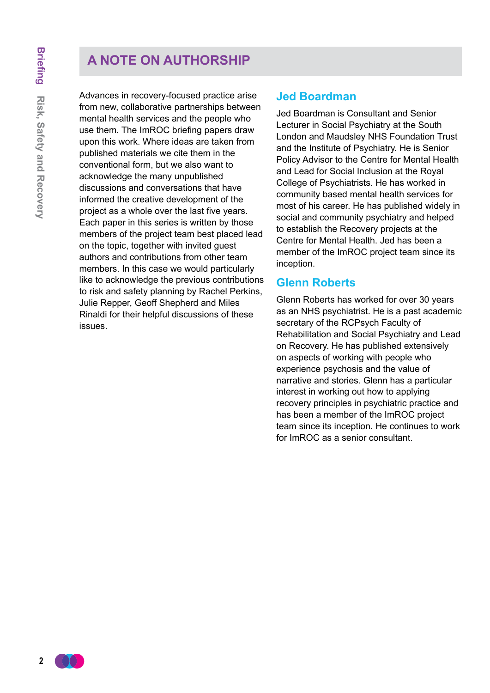# **A NOTE ON AUTHORSHIP**

Advances in recovery-focused practice arise from new, collaborative partnerships between mental health services and the people who use them. The ImROC briefing papers draw upon this work. Where ideas are taken from published materials we cite them in the conventional form, but we also want to acknowledge the many unpublished discussions and conversations that have informed the creative development of the project as a whole over the last five years. Each paper in this series is written by those members of the project team best placed lead on the topic, together with invited guest authors and contributions from other team members. In this case we would particularly like to acknowledge the previous contributions to risk and safety planning by Rachel Perkins, Julie Repper, Geoff Shepherd and Miles Rinaldi for their helpful discussions of these issues.

#### **Jed Boardman**

Jed Boardman is Consultant and Senior Lecturer in Social Psychiatry at the South London and Maudsley NHS Foundation Trust and the Institute of Psychiatry. He is Senior Policy Advisor to the Centre for Mental Health and Lead for Social Inclusion at the Royal College of Psychiatrists. He has worked in community based mental health services for most of his career. He has published widely in social and community psychiatry and helped to establish the Recovery projects at the Centre for Mental Health. Jed has been a member of the ImROC project team since its inception.

#### **Glenn Roberts**

Glenn Roberts has worked for over 30 years as an NHS psychiatrist. He is a past academic secretary of the RCPsych Faculty of Rehabilitation and Social Psychiatry and Lead on Recovery. He has published extensively on aspects of working with people who experience psychosis and the value of narrative and stories. Glenn has a particular interest in working out how to applying recovery principles in psychiatric practice and has been a member of the ImROC project team since its inception. He continues to work for ImROC as a senior consultant.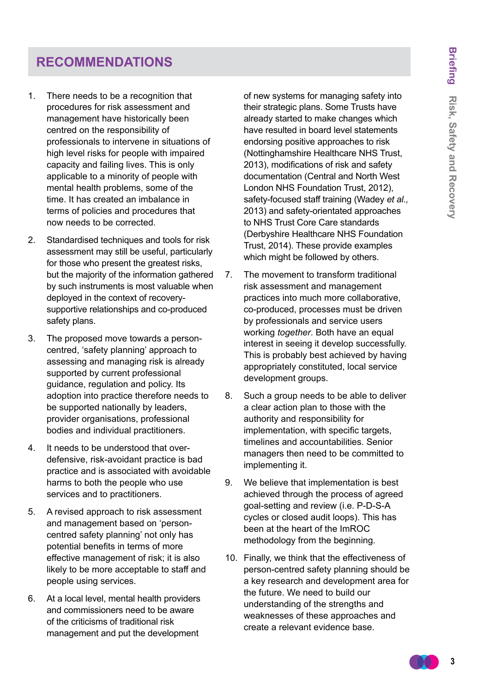## **RECOMMENDATIONS**

- 1. There needs to be a recognition that procedures for risk assessment and management have historically been centred on the responsibility of professionals to intervene in situations of high level risks for people with impaired capacity and failing lives. This is only applicable to a minority of people with mental health problems, some of the time. It has created an imbalance in terms of policies and procedures that now needs to be corrected.
- 2. Standardised techniques and tools for risk assessment may still be useful, particularly for those who present the greatest risks, but the majority of the information gathered by such instruments is most valuable when deployed in the context of recoverysupportive relationships and co-produced safety plans.
- 3. The proposed move towards a personcentred, 'safety planning' approach to assessing and managing risk is already supported by current professional guidance, regulation and policy. Its adoption into practice therefore needs to be supported nationally by leaders, provider organisations, professional bodies and individual practitioners.
- 4. It needs to be understood that overdefensive, risk-avoidant practice is bad practice and is associated with avoidable harms to both the people who use services and to practitioners.
- 5. A revised approach to risk assessment and management based on 'personcentred safety planning' not only has potential benefits in terms of more effective management of risk; it is also likely to be more acceptable to staff and people using services.
- 6. At a local level, mental health providers and commissioners need to be aware of the criticisms of traditional risk management and put the development

of new systems for managing safety into their strategic plans. Some Trusts have already started to make changes which have resulted in board level statements endorsing positive approaches to risk (Nottinghamshire Healthcare NHS Trust, 2013), modifications of risk and safety documentation (Central and North West London NHS Foundation Trust, 2012), safety-focused staff training (Wadey *et al.,* 2013) and safety-orientated approaches to NHS Trust Core Care standards (Derbyshire Healthcare NHS Foundation Trust, 2014). These provide examples which might be followed by others.

- 7. The movement to transform traditional risk assessment and management practices into much more collaborative, co-produced, processes must be driven by professionals and service users working *together*. Both have an equal interest in seeing it develop successfully. This is probably best achieved by having appropriately constituted, local service development groups.
- 8. Such a group needs to be able to deliver a clear action plan to those with the authority and responsibility for implementation, with specific targets, timelines and accountabilities. Senior managers then need to be committed to implementing it.
- 9. We believe that implementation is best achieved through the process of agreed goal-setting and review (i.e. P-D-S-A cycles or closed audit loops). This has been at the heart of the ImROC methodology from the beginning.
- 10. Finally, we think that the effectiveness of person-centred safety planning should be a key research and development area for the future. We need to build our understanding of the strengths and weaknesses of these approaches and create a relevant evidence base.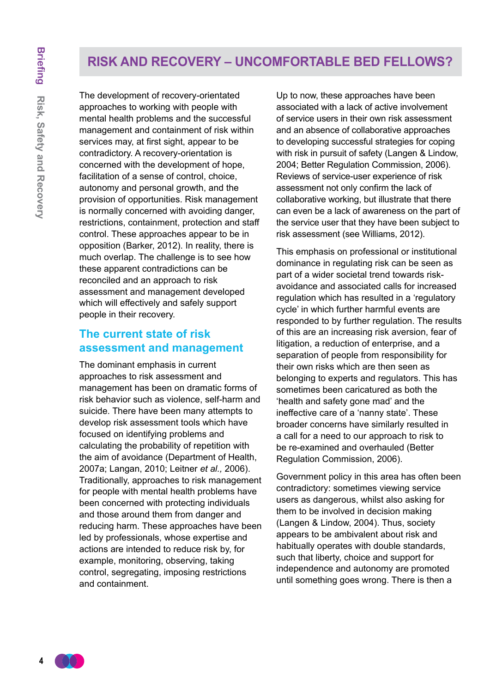# **RISK AND RECOVERY – UNCOMFORTABLE BED FELLOWS?**

The development of recovery-orientated approaches to working with people with mental health problems and the successful management and containment of risk within services may, at first sight, appear to be contradictory. A recovery-orientation is concerned with the development of hope, facilitation of a sense of control, choice, autonomy and personal growth, and the provision of opportunities. Risk management is normally concerned with avoiding danger, restrictions, containment, protection and staff control. These approaches appear to be in opposition (Barker, 2012). In reality, there is much overlap. The challenge is to see how these apparent contradictions can be reconciled and an approach to risk assessment and management developed which will effectively and safely support people in their recovery.

## **The current state of risk assessment and management**

The dominant emphasis in current approaches to risk assessment and management has been on dramatic forms of risk behavior such as violence, self-harm and suicide. There have been many attempts to develop risk assessment tools which have focused on identifying problems and calculating the probability of repetition with the aim of avoidance (Department of Health, 2007a; Langan, 2010; Leitner *et al.,* 2006). Traditionally, approaches to risk management for people with mental health problems have been concerned with protecting individuals and those around them from danger and reducing harm. These approaches have been led by professionals, whose expertise and actions are intended to reduce risk by, for example, monitoring, observing, taking control, segregating, imposing restrictions and containment.

Up to now, these approaches have been associated with a lack of active involvement of service users in their own risk assessment and an absence of collaborative approaches to developing successful strategies for coping with risk in pursuit of safety (Langen & Lindow, 2004; Better Regulation Commission, 2006). Reviews of service-user experience of risk assessment not only confirm the lack of collaborative working, but illustrate that there can even be a lack of awareness on the part of the service user that they have been subject to risk assessment (see Williams, 2012).

This emphasis on professional or institutional dominance in regulating risk can be seen as part of a wider societal trend towards riskavoidance and associated calls for increased regulation which has resulted in a 'regulatory cycle' in which further harmful events are responded to by further regulation. The results of this are an increasing risk aversion, fear of litigation, a reduction of enterprise, and a separation of people from responsibility for their own risks which are then seen as belonging to experts and regulators. This has sometimes been caricatured as both the 'health and safety gone mad' and the ineffective care of a 'nanny state'. These broader concerns have similarly resulted in a call for a need to our approach to risk to be re-examined and overhauled (Better Regulation Commission, 2006).

Government policy in this area has often been contradictory: sometimes viewing service users as dangerous, whilst also asking for them to be involved in decision making (Langen & Lindow, 2004). Thus, society appears to be ambivalent about risk and habitually operates with double standards, such that liberty, choice and support for independence and autonomy are promoted until something goes wrong. There is then a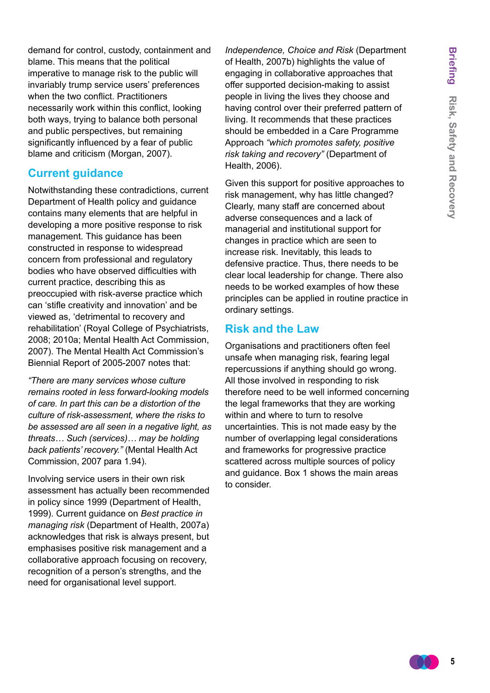demand for control, custody, containment and blame. This means that the political imperative to manage risk to the public will invariably trump service users' preferences when the two conflict. Practitioners necessarily work within this conflict, looking both ways, trying to balance both personal and public perspectives, but remaining significantly influenced by a fear of public blame and criticism (Morgan, 2007).

#### **Current guidance**

Notwithstanding these contradictions, current Department of Health policy and guidance contains many elements that are helpful in developing a more positive response to risk management. This guidance has been constructed in response to widespread concern from professional and regulatory bodies who have observed difficulties with current practice, describing this as preoccupied with risk-averse practice which can 'stifle creativity and innovation' and be viewed as, 'detrimental to recovery and rehabilitation' (Royal College of Psychiatrists, 2008; 2010a; Mental Health Act Commission, 2007). The Mental Health Act Commission's Biennial Report of 2005-2007 notes that:

*"There are many services whose culture remains rooted in less forward-looking models of care. In part this can be a distortion of the culture of risk-assessment, where the risks to be assessed are all seen in a negative light, as threats… Such (services)… may be holding back patients' recovery."* (Mental Health Act Commission, 2007 para 1.94).

Involving service users in their own risk assessment has actually been recommended in policy since 1999 (Department of Health, 1999). Current guidance on *Best practice in managing risk* (Department of Health, 2007a) acknowledges that risk is always present, but emphasises positive risk management and a collaborative approach focusing on recovery, recognition of a person's strengths, and the need for organisational level support.

*Independence, Choice and Risk* (Department of Health, 2007b) highlights the value of engaging in collaborative approaches that offer supported decision-making to assist people in living the lives they choose and having control over their preferred pattern of living. It recommends that these practices should be embedded in a Care Programme Approach *"which promotes safety, positive risk taking and recovery"* (Department of Health, 2006).

Given this support for positive approaches to risk management, why has little changed? Clearly, many staff are concerned about adverse consequences and a lack of managerial and institutional support for changes in practice which are seen to increase risk. Inevitably, this leads to defensive practice. Thus, there needs to be clear local leadership for change. There also needs to be worked examples of how these principles can be applied in routine practice in ordinary settings.

#### **Risk and the Law**

Organisations and practitioners often feel unsafe when managing risk, fearing legal repercussions if anything should go wrong. All those involved in responding to risk therefore need to be well informed concerning the legal frameworks that they are working within and where to turn to resolve uncertainties. This is not made easy by the number of overlapping legal considerations and frameworks for progressive practice scattered across multiple sources of policy and guidance. Box 1 shows the main areas to consider.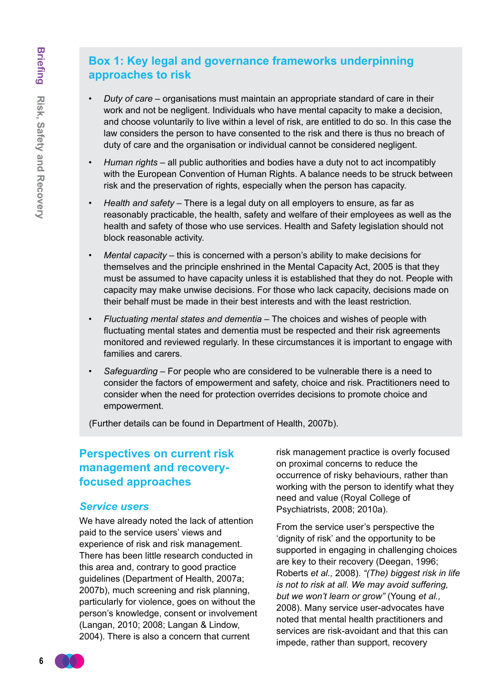## **Box 1: Key legal and governance frameworks underpinning approaches to risk**

- *Duty of care* organisations must maintain an appropriate standard of care in their work and not be negligent. Individuals who have mental capacity to make a decision, and choose voluntarily to live within a level of risk, are entitled to do so. In this case the law considers the person to have consented to the risk and there is thus no breach of duty of care and the organisation or individual cannot be considered negligent.
- *Human rights* all public authorities and bodies have a duty not to act incompatibly with the European Convention of Human Rights. A balance needs to be struck between risk and the preservation of rights, especially when the person has capacity.
- *Health and safety* There is a legal duty on all employers to ensure, as far as reasonably practicable, the health, safety and welfare of their employees as well as the health and safety of those who use services. Health and Safety legislation should not block reasonable activity.
- *Mental capacity* this is concerned with a person's ability to make decisions for themselves and the principle enshrined in the Mental Capacity Act, 2005 is that they must be assumed to have capacity unless it is established that they do not. People with capacity may make unwise decisions. For those who lack capacity, decisions made on their behalf must be made in their best interests and with the least restriction.
- *Fluctuating mental states and dementia* The choices and wishes of people with fluctuating mental states and dementia must be respected and their risk agreements monitored and reviewed regularly. In these circumstances it is important to engage with families and carers.
- *Safeguarding* For people who are considered to be vulnerable there is a need to consider the factors of empowerment and safety, choice and risk. Practitioners need to consider when the need for protection overrides decisions to promote choice and empowerment.

(Further details can be found in Department of Health, 2007b).

## **Perspectives on current risk management and recoveryfocused approaches**

#### *Service users*

We have already noted the lack of attention paid to the service users' views and experience of risk and risk management. There has been little research conducted in this area and, contrary to good practice guidelines (Department of Health, 2007a; 2007b), much screening and risk planning, particularly for violence, goes on without the person's knowledge, consent or involvement (Langan, 2010; 2008; Langan & Lindow, 2004). There is also a concern that current

risk management practice is overly focused on proximal concerns to reduce the occurrence of risky behaviours, rather than working with the person to identify what they need and value (Royal College of Psychiatrists, 2008; 2010a).

From the service user's perspective the 'dignity of risk' and the opportunity to be supported in engaging in challenging choices are key to their recovery (Deegan, 1996; Roberts *et al.,* 2008). *"(The) biggest risk in life is not to risk at all. We may avoid suffering, but we won't learn or grow"* (Young *et al.,* 2008). Many service user-advocates have noted that mental health practitioners and services are risk-avoidant and that this can impede, rather than support, recovery

**Briefing** Risk, Safety and Recovery **Risk, Safety and Recovery**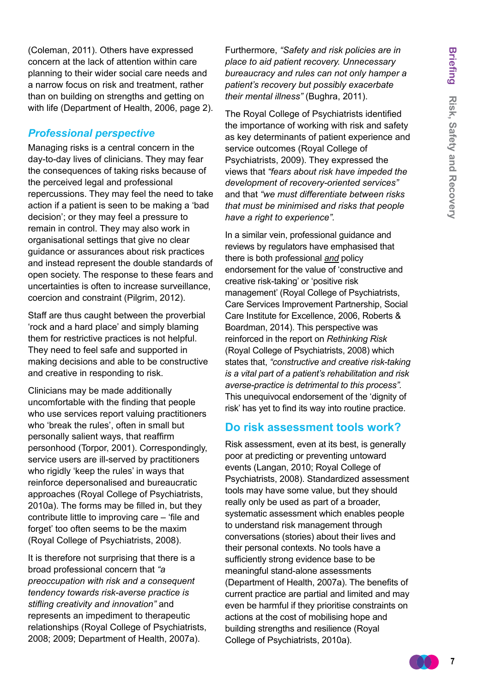(Coleman, 2011). Others have expressed concern at the lack of attention within care planning to their wider social care needs and a narrow focus on risk and treatment, rather than on building on strengths and getting on with life (Department of Health, 2006, page 2).

#### *Professional perspective*

Managing risks is a central concern in the day-to-day lives of clinicians. They may fear the consequences of taking risks because of the perceived legal and professional repercussions. They may feel the need to take action if a patient is seen to be making a 'bad decision'; or they may feel a pressure to remain in control. They may also work in organisational settings that give no clear guidance or assurances about risk practices and instead represent the double standards of open society. The response to these fears and uncertainties is often to increase surveillance, coercion and constraint (Pilgrim, 2012).

Staff are thus caught between the proverbial 'rock and a hard place' and simply blaming them for restrictive practices is not helpful. They need to feel safe and supported in making decisions and able to be constructive and creative in responding to risk.

Clinicians may be made additionally uncomfortable with the finding that people who use services report valuing practitioners who 'break the rules', often in small but personally salient ways, that reaffirm personhood (Torpor, 2001). Correspondingly, service users are ill-served by practitioners who rigidly 'keep the rules' in ways that reinforce depersonalised and bureaucratic approaches (Royal College of Psychiatrists, 2010a). The forms may be filled in, but they contribute little to improving care – 'file and forget' too often seems to be the maxim (Royal College of Psychiatrists, 2008).

It is therefore not surprising that there is a broad professional concern that *"a preoccupation with risk and a consequent tendency towards risk-averse practice is stifling creativity and innovation"* and represents an impediment to therapeutic relationships (Royal College of Psychiatrists, 2008; 2009; Department of Health, 2007a).

Furthermore, *"Safety and risk policies are in place to aid patient recovery. Unnecessary bureaucracy and rules can not only hamper a patient's recovery but possibly exacerbate their mental illness"* (Bughra, 2011).

The Royal College of Psychiatrists identified the importance of working with risk and safety as key determinants of patient experience and service outcomes (Royal College of Psychiatrists, 2009). They expressed the views that *"fears about risk have impeded the development of recovery-oriented services"* and that *"we must differentiate between risks that must be minimised and risks that people have a right to experience".*

In a similar vein, professional guidance and reviews by regulators have emphasised that there is both professional *and* policy endorsement for the value of 'constructive and creative risk-taking' or 'positive risk management' (Royal College of Psychiatrists, Care Services Improvement Partnership, Social Care Institute for Excellence, 2006, Roberts & Boardman, 2014). This perspective was reinforced in the report on *Rethinking Risk*  (Royal College of Psychiatrists, 2008) which states that, *"constructive and creative risk-taking is a vital part of a patient's rehabilitation and risk averse-practice is detrimental to this process".*  This unequivocal endorsement of the 'dignity of risk' has yet to find its way into routine practice.

#### **Do risk assessment tools work?**

Risk assessment, even at its best, is generally poor at predicting or preventing untoward events (Langan, 2010; Royal College of Psychiatrists, 2008). Standardized assessment tools may have some value, but they should really only be used as part of a broader, systematic assessment which enables people to understand risk management through conversations (stories) about their lives and their personal contexts. No tools have a sufficiently strong evidence base to be meaningful stand-alone assessments (Department of Health, 2007a). The benefits of current practice are partial and limited and may even be harmful if they prioritise constraints on actions at the cost of mobilising hope and building strengths and resilience (Royal College of Psychiatrists, 2010a).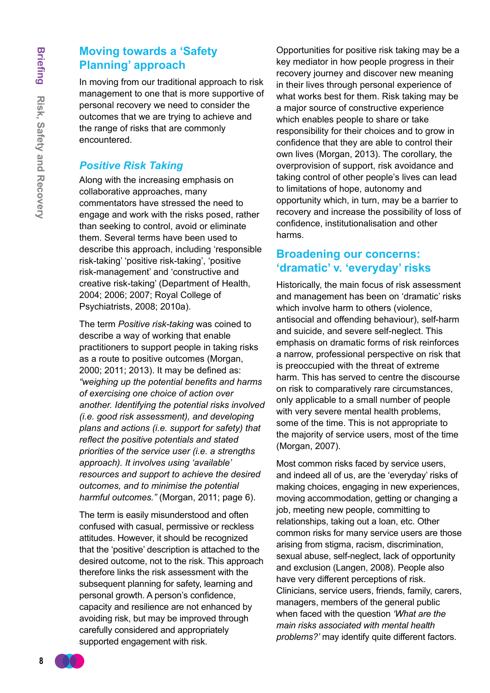### **Moving towards a 'Safety Planning' approach**

In moving from our traditional approach to risk management to one that is more supportive of personal recovery we need to consider the outcomes that we are trying to achieve and the range of risks that are commonly encountered.

#### *Positive Risk Taking*

Along with the increasing emphasis on collaborative approaches, many commentators have stressed the need to engage and work with the risks posed, rather than seeking to control, avoid or eliminate them. Several terms have been used to describe this approach, including 'responsible risk-taking' 'positive risk-taking', 'positive risk-management' and 'constructive and creative risk-taking' (Department of Health, 2004; 2006; 2007; Royal College of Psychiatrists, 2008; 2010a).

The term *Positive risk-taking* was coined to describe a way of working that enable practitioners to support people in taking risks as a route to positive outcomes (Morgan, 2000; 2011; 2013). It may be defined as: *"weighing up the potential benefits and harms of exercising one choice of action over another. Identifying the potential risks involved (i.e. good risk assessment), and developing plans and actions (i.e. support for safety) that reflect the positive potentials and stated priorities of the service user (i.e. a strengths approach). It involves using 'available' resources and support to achieve the desired outcomes, and to minimise the potential harmful outcomes."* (Morgan, 2011; page 6).

The term is easily misunderstood and often confused with casual, permissive or reckless attitudes. However, it should be recognized that the 'positive' description is attached to the desired outcome, not to the risk. This approach therefore links the risk assessment with the subsequent planning for safety, learning and personal growth. A person's confidence, capacity and resilience are not enhanced by avoiding risk, but may be improved through carefully considered and appropriately supported engagement with risk.

Opportunities for positive risk taking may be a key mediator in how people progress in their recovery journey and discover new meaning in their lives through personal experience of what works best for them. Risk taking may be a major source of constructive experience which enables people to share or take responsibility for their choices and to grow in confidence that they are able to control their own lives (Morgan, 2013). The corollary, the overprovision of support, risk avoidance and taking control of other people's lives can lead to limitations of hope, autonomy and opportunity which, in turn, may be a barrier to recovery and increase the possibility of loss of confidence, institutionalisation and other harms.

#### **Broadening our concerns: 'dramatic' v. 'everyday' risks**

Historically, the main focus of risk assessment and management has been on 'dramatic' risks which involve harm to others (violence, antisocial and offending behaviour), self-harm and suicide, and severe self-neglect. This emphasis on dramatic forms of risk reinforces a narrow, professional perspective on risk that is preoccupied with the threat of extreme harm. This has served to centre the discourse on risk to comparatively rare circumstances, only applicable to a small number of people with very severe mental health problems, some of the time. This is not appropriate to the majority of service users, most of the time (Morgan, 2007).

Most common risks faced by service users, and indeed all of us, are the 'everyday' risks of making choices, engaging in new experiences, moving accommodation, getting or changing a job, meeting new people, committing to relationships, taking out a loan, etc. Other common risks for many service users are those arising from stigma, racism, discrimination, sexual abuse, self-neglect, lack of opportunity and exclusion (Langen, 2008). People also have very different perceptions of risk. Clinicians, service users, friends, family, carers, managers, members of the general public when faced with the question *'What are the main risks associated with mental health problems?'* may identify quite different factors.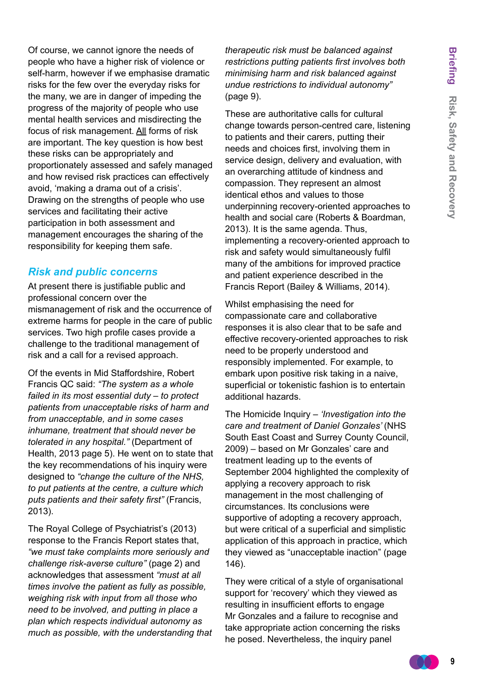Of course, we cannot ignore the needs of people who have a higher risk of violence or self-harm, however if we emphasise dramatic risks for the few over the everyday risks for the many, we are in danger of impeding the progress of the majority of people who use mental health services and misdirecting the focus of risk management. All forms of risk are important. The key question is how best these risks can be appropriately and proportionately assessed and safely managed and how revised risk practices can effectively avoid, 'making a drama out of a crisis'. Drawing on the strengths of people who use services and facilitating their active participation in both assessment and management encourages the sharing of the responsibility for keeping them safe.

#### *Risk and public concerns*

At present there is justifiable public and professional concern over the mismanagement of risk and the occurrence of extreme harms for people in the care of public services. Two high profile cases provide a challenge to the traditional management of risk and a call for a revised approach.

Of the events in Mid Staffordshire, Robert Francis QC said: *"The system as a whole failed in its most essential duty – to protect patients from unacceptable risks of harm and from unacceptable, and in some cases inhumane, treatment that should never be tolerated in any hospital."* (Department of Health, 2013 page 5). He went on to state that the key recommendations of his inquiry were designed to *"change the culture of the NHS, to put patients at the centre, a culture which puts patients and their safety first"* (Francis, 2013).

The Royal College of Psychiatrist's (2013) response to the Francis Report states that, *"we must take complaints more seriously and challenge risk-averse culture"* (page 2) and acknowledges that assessment *"must at all times involve the patient as fully as possible, weighing risk with input from all those who need to be involved, and putting in place a plan which respects individual autonomy as much as possible, with the understanding that*  *therapeutic risk must be balanced against restrictions putting patients first involves both minimising harm and risk balanced against undue restrictions to individual autonomy"* (page 9).

These are authoritative calls for cultural change towards person-centred care, listening to patients and their carers, putting their needs and choices first, involving them in service design, delivery and evaluation, with an overarching attitude of kindness and compassion. They represent an almost identical ethos and values to those underpinning recovery-oriented approaches to health and social care (Roberts & Boardman, 2013). It is the same agenda. Thus, implementing a recovery-oriented approach to risk and safety would simultaneously fulfil many of the ambitions for improved practice and patient experience described in the Francis Report (Bailey & Williams, 2014).

Whilst emphasising the need for compassionate care and collaborative responses it is also clear that to be safe and effective recovery-oriented approaches to risk need to be properly understood and responsibly implemented. For example, to embark upon positive risk taking in a naive, superficial or tokenistic fashion is to entertain additional hazards.

The Homicide Inquiry – *'Investigation into the care and treatment of Daniel Gonzales'* (NHS South East Coast and Surrey County Council, 2009) – based on Mr Gonzales' care and treatment leading up to the events of September 2004 highlighted the complexity of applying a recovery approach to risk management in the most challenging of circumstances. Its conclusions were supportive of adopting a recovery approach, but were critical of a superficial and simplistic application of this approach in practice, which they viewed as "unacceptable inaction" (page 146).

They were critical of a style of organisational support for 'recovery' which they viewed as resulting in insufficient efforts to engage Mr Gonzales and a failure to recognise and take appropriate action concerning the risks he posed. Nevertheless, the inquiry panel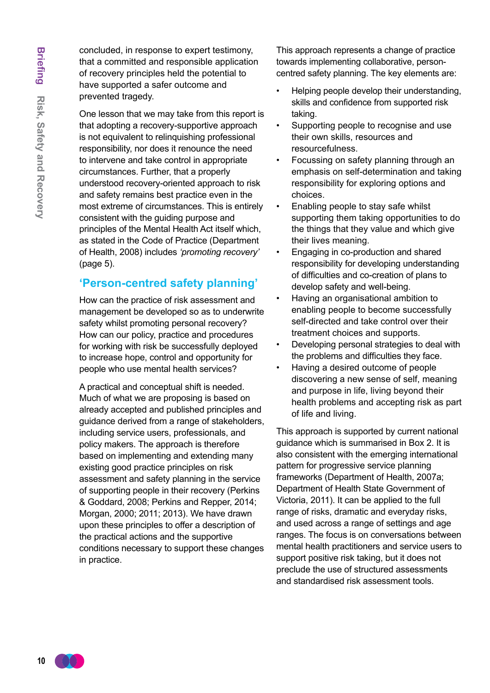concluded, in response to expert testimony, that a committed and responsible application of recovery principles held the potential to have supported a safer outcome and prevented tragedy.

One lesson that we may take from this report is that adopting a recovery-supportive approach is not equivalent to relinquishing professional responsibility, nor does it renounce the need to intervene and take control in appropriate circumstances. Further, that a properly understood recovery-oriented approach to risk and safety remains best practice even in the most extreme of circumstances. This is entirely consistent with the guiding purpose and principles of the Mental Health Act itself which, as stated in the Code of Practice (Department of Health, 2008) includes *'promoting recovery'*  (page 5).

#### **'Person-centred safety planning'**

How can the practice of risk assessment and management be developed so as to underwrite safety whilst promoting personal recovery? How can our policy, practice and procedures for working with risk be successfully deployed to increase hope, control and opportunity for people who use mental health services?

A practical and conceptual shift is needed. Much of what we are proposing is based on already accepted and published principles and guidance derived from a range of stakeholders, including service users, professionals, and policy makers. The approach is therefore based on implementing and extending many existing good practice principles on risk assessment and safety planning in the service of supporting people in their recovery (Perkins & Goddard, 2008; Perkins and Repper, 2014; Morgan, 2000; 2011; 2013). We have drawn upon these principles to offer a description of the practical actions and the supportive conditions necessary to support these changes in practice.

This approach represents a change of practice towards implementing collaborative, personcentred safety planning. The key elements are:

- Helping people develop their understanding, skills and confidence from supported risk taking.
- Supporting people to recognise and use their own skills, resources and resourcefulness.
- Focussing on safety planning through an emphasis on self-determination and taking responsibility for exploring options and choices.
- Enabling people to stay safe whilst supporting them taking opportunities to do the things that they value and which give their lives meaning.
- Engaging in co-production and shared responsibility for developing understanding of difficulties and co-creation of plans to develop safety and well-being.
- Having an organisational ambition to enabling people to become successfully self-directed and take control over their treatment choices and supports.
- Developing personal strategies to deal with the problems and difficulties they face.
- Having a desired outcome of people discovering a new sense of self, meaning and purpose in life, living beyond their health problems and accepting risk as part of life and living.

This approach is supported by current national guidance which is summarised in Box 2. It is also consistent with the emerging international pattern for progressive service planning frameworks (Department of Health, 2007a; Department of Health State Government of Victoria, 2011). It can be applied to the full range of risks, dramatic and everyday risks, and used across a range of settings and age ranges. The focus is on conversations between mental health practitioners and service users to support positive risk taking, but it does not preclude the use of structured assessments and standardised risk assessment tools.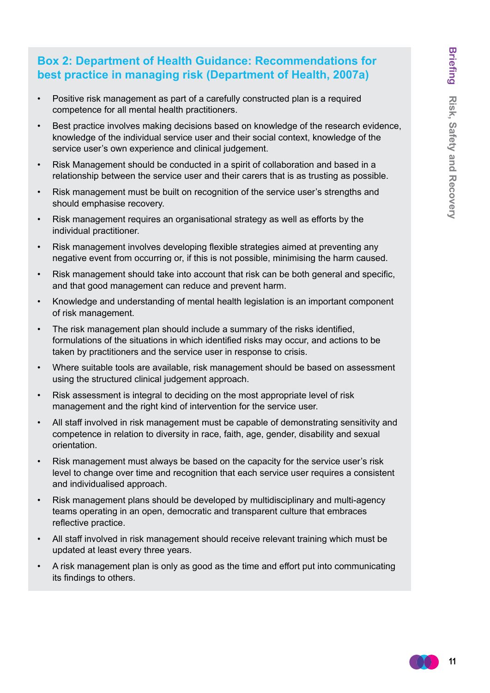## **Box 2: Department of Health Guidance: Recommendations for best practice in managing risk (Department of Health, 2007a)**

- Positive risk management as part of a carefully constructed plan is a required competence for all mental health practitioners.
- Best practice involves making decisions based on knowledge of the research evidence, knowledge of the individual service user and their social context, knowledge of the service user's own experience and clinical judgement.
- Risk Management should be conducted in a spirit of collaboration and based in a relationship between the service user and their carers that is as trusting as possible.
- Risk management must be built on recognition of the service user's strengths and should emphasise recovery.
- Risk management requires an organisational strategy as well as efforts by the individual practitioner.
- Risk management involves developing flexible strategies aimed at preventing any negative event from occurring or, if this is not possible, minimising the harm caused.
- Risk management should take into account that risk can be both general and specific, and that good management can reduce and prevent harm.
- Knowledge and understanding of mental health legislation is an important component of risk management.
- The risk management plan should include a summary of the risks identified, formulations of the situations in which identified risks may occur, and actions to be taken by practitioners and the service user in response to crisis.
- Where suitable tools are available, risk management should be based on assessment using the structured clinical judgement approach.
- Risk assessment is integral to deciding on the most appropriate level of risk management and the right kind of intervention for the service user.
- All staff involved in risk management must be capable of demonstrating sensitivity and competence in relation to diversity in race, faith, age, gender, disability and sexual orientation.
- Risk management must always be based on the capacity for the service user's risk level to change over time and recognition that each service user requires a consistent and individualised approach.
- Risk management plans should be developed by multidisciplinary and multi-agency teams operating in an open, democratic and transparent culture that embraces reflective practice.
- All staff involved in risk management should receive relevant training which must be updated at least every three years.
- A risk management plan is only as good as the time and effort put into communicating its findings to others.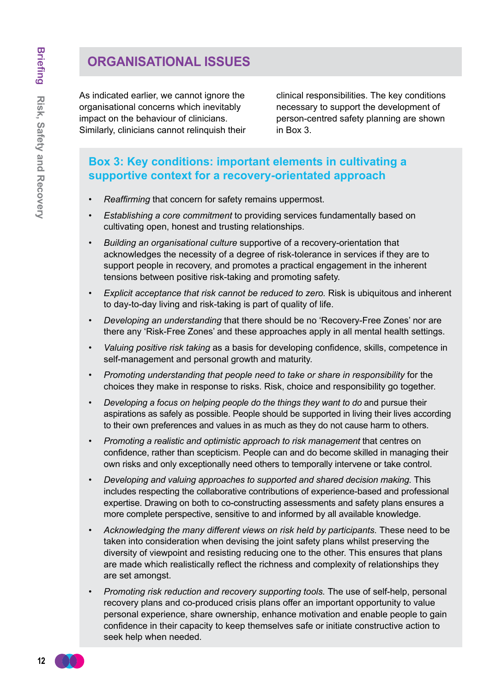# **ORGANISATIONAL ISSUES**

As indicated earlier, we cannot ignore the organisational concerns which inevitably impact on the behaviour of clinicians. Similarly, clinicians cannot relinquish their clinical responsibilities. The key conditions necessary to support the development of person-centred safety planning are shown in Box 3.

## **Box 3: Key conditions: important elements in cultivating a supportive context for a recovery-orientated approach**

- *Reaffirming* that concern for safety remains uppermost.
- *Establishing a core commitment* to providing services fundamentally based on cultivating open, honest and trusting relationships.
- *Building an organisational culture* supportive of a recovery-orientation that acknowledges the necessity of a degree of risk-tolerance in services if they are to support people in recovery, and promotes a practical engagement in the inherent tensions between positive risk-taking and promoting safety.
- *Explicit acceptance that risk cannot be reduced to zero.* Risk is ubiquitous and inherent to day-to-day living and risk-taking is part of quality of life.
- *Developing an understanding* that there should be no 'Recovery-Free Zones' nor are there any 'Risk-Free Zones' and these approaches apply in all mental health settings.
- *Valuing positive risk taking* as a basis for developing confidence, skills, competence in self-management and personal growth and maturity.
- *Promoting understanding that people need to take or share in responsibility* for the choices they make in response to risks. Risk, choice and responsibility go together.
- *Developing a focus on helping people do the things they want to do* and pursue their aspirations as safely as possible. People should be supported in living their lives according to their own preferences and values in as much as they do not cause harm to others.
- *Promoting a realistic and optimistic approach to risk management* that centres on confidence, rather than scepticism. People can and do become skilled in managing their own risks and only exceptionally need others to temporally intervene or take control.
- *Developing and valuing approaches to supported and shared decision making.* This includes respecting the collaborative contributions of experience-based and professional expertise. Drawing on both to co-constructing assessments and safety plans ensures a more complete perspective, sensitive to and informed by all available knowledge.
- *Acknowledging the many different views on risk held by participants.* These need to be taken into consideration when devising the joint safety plans whilst preserving the diversity of viewpoint and resisting reducing one to the other. This ensures that plans are made which realistically reflect the richness and complexity of relationships they are set amongst.
- *Promoting risk reduction and recovery supporting tools.* The use of self-help, personal recovery plans and co-produced crisis plans offer an important opportunity to value personal experience, share ownership, enhance motivation and enable people to gain confidence in their capacity to keep themselves safe or initiate constructive action to seek help when needed*.*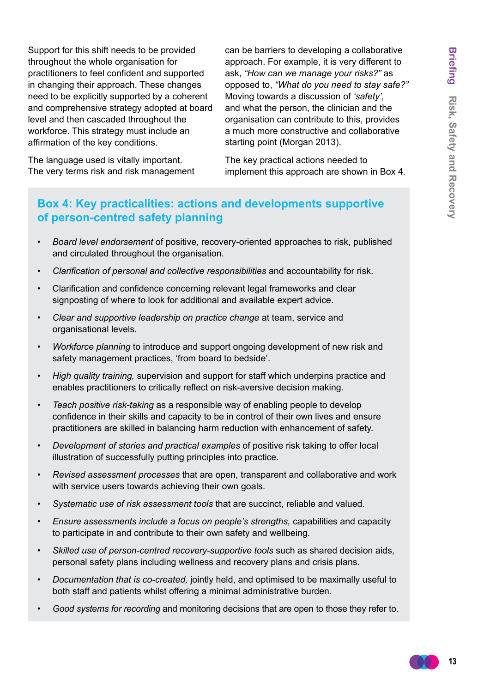Support for this shift needs to be provided throughout the whole organisation for practitioners to feel confident and supported in changing their approach. These changes need to be explicitly supported by a coherent and comprehensive strategy adopted at board level and then cascaded throughout the workforce. This strategy must include an affirmation of the key conditions.

The language used is vitally important. The very terms risk and risk management can be barriers to developing a collaborative approach. For example, it is very different to ask, *"How can we manage your risks?"* as opposed to, *"What do you need to stay safe?"*  Moving towards a discussion of *'safety'*, and what the person, the clinician and the organisation can contribute to this, provides a much more constructive and collaborative starting point (Morgan 2013).

The key practical actions needed to implement this approach are shown in Box 4.

## **Box 4: Key practicalities: actions and developments supportive of person-centred safety planning**

- *Board level endorsement* of positive, recovery-oriented approaches to risk, published and circulated throughout the organisation.
- *Clarification of personal and collective responsibilities* and accountability for risk.
- Clarification and confidence concerning relevant legal frameworks and clear signposting of where to look for additional and available expert advice.
- *Clear and supportive leadership on practice change* at team, service and organisational levels.
- *Workforce planning* to introduce and support ongoing development of new risk and safety management practices, 'from board to bedside'.
- *High quality training,* supervision and support for staff which underpins practice and enables practitioners to critically reflect on risk-aversive decision making.
- *Teach positive risk-taking* as a responsible way of enabling people to develop confidence in their skills and capacity to be in control of their own lives and ensure practitioners are skilled in balancing harm reduction with enhancement of safety.
- *Development of stories and practical examples* of positive risk taking to offer local illustration of successfully putting principles into practice.
- *Revised assessment processes* that are open, transparent and collaborative and work with service users towards achieving their own goals.
- *Systematic use of risk assessment tools* that are succinct, reliable and valued.
- *Ensure assessments include a focus on people's strengths,* capabilities and capacity to participate in and contribute to their own safety and wellbeing.
- *Skilled use of person-centred recovery-supportive tools* such as shared decision aids, personal safety plans including wellness and recovery plans and crisis plans.
- *Documentation that is co-created,* jointly held, and optimised to be maximally useful to both staff and patients whilst offering a minimal administrative burden.
- *Good systems for recording* and monitoring decisions that are open to those they refer to.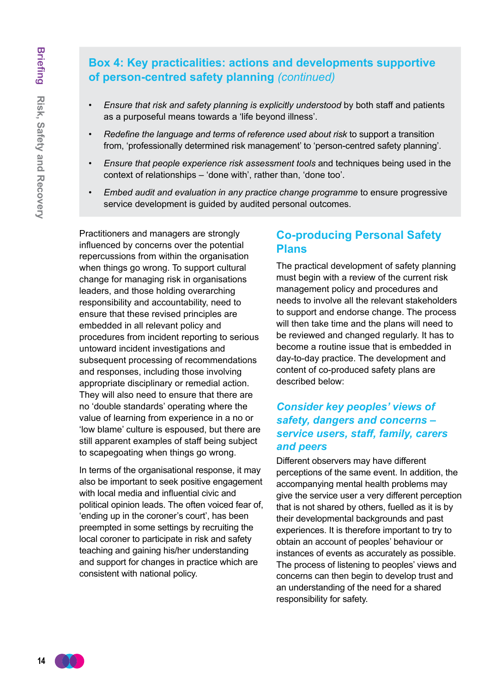## **Box 4: Key practicalities: actions and developments supportive of person-centred safety planning** *(continued)*

- *Ensure that risk and safety planning is explicitly understood* by both staff and patients as a purposeful means towards a 'life beyond illness'.
- *Redefine the language and terms of reference used about risk* to support a transition from, 'professionally determined risk management' to 'person-centred safety planning'.
- *Ensure that people experience risk assessment tools* and techniques being used in the context of relationships – 'done with', rather than, 'done too'.
- *Embed audit and evaluation in any practice change programme* to ensure progressive service development is guided by audited personal outcomes.

Practitioners and managers are strongly influenced by concerns over the potential repercussions from within the organisation when things go wrong. To support cultural change for managing risk in organisations leaders, and those holding overarching responsibility and accountability, need to ensure that these revised principles are embedded in all relevant policy and procedures from incident reporting to serious untoward incident investigations and subsequent processing of recommendations and responses, including those involving appropriate disciplinary or remedial action. They will also need to ensure that there are no 'double standards' operating where the value of learning from experience in a no or 'low blame' culture is espoused, but there are still apparent examples of staff being subject to scapegoating when things go wrong.

In terms of the organisational response, it may also be important to seek positive engagement with local media and influential civic and political opinion leads. The often voiced fear of, 'ending up in the coroner's court', has been preempted in some settings by recruiting the local coroner to participate in risk and safety teaching and gaining his/her understanding and support for changes in practice which are consistent with national policy.

## **Co-producing Personal Safety Plans**

The practical development of safety planning must begin with a review of the current risk management policy and procedures and needs to involve all the relevant stakeholders to support and endorse change. The process will then take time and the plans will need to be reviewed and changed regularly. It has to become a routine issue that is embedded in day-to-day practice. The development and content of co-produced safety plans are described below:

#### *Consider key peoples' views of safety, dangers and concerns – service users, staff, family, carers and peers*

Different observers may have different perceptions of the same event. In addition, the accompanying mental health problems may give the service user a very different perception that is not shared by others, fuelled as it is by their developmental backgrounds and past experiences. It is therefore important to try to obtain an account of peoples' behaviour or instances of events as accurately as possible. The process of listening to peoples' views and concerns can then begin to develop trust and an understanding of the need for a shared responsibility for safety.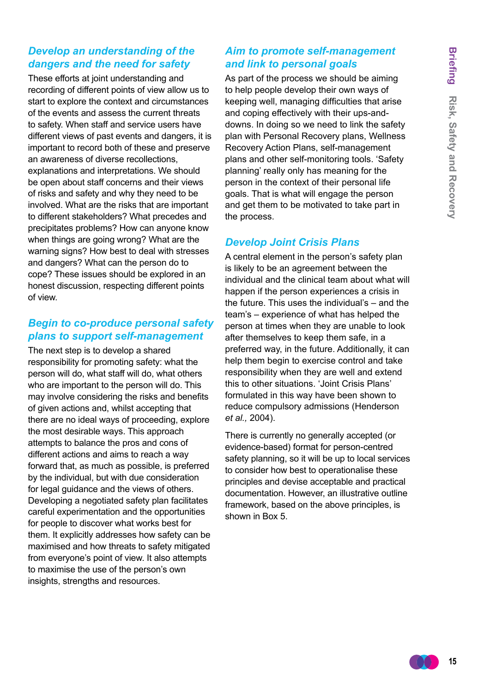#### *Develop an understanding of the dangers and the need for safety*

These efforts at joint understanding and recording of different points of view allow us to start to explore the context and circumstances of the events and assess the current threats to safety. When staff and service users have different views of past events and dangers, it is important to record both of these and preserve an awareness of diverse recollections, explanations and interpretations. We should be open about staff concerns and their views of risks and safety and why they need to be involved. What are the risks that are important to different stakeholders? What precedes and precipitates problems? How can anyone know when things are going wrong? What are the warning signs? How best to deal with stresses and dangers? What can the person do to cope? These issues should be explored in an honest discussion, respecting different points of view.

#### *Begin to co-produce personal safety plans to support self-management*

The next step is to develop a shared responsibility for promoting safety: what the person will do, what staff will do, what others who are important to the person will do. This may involve considering the risks and benefits of given actions and, whilst accepting that there are no ideal ways of proceeding, explore the most desirable ways. This approach attempts to balance the pros and cons of different actions and aims to reach a way forward that, as much as possible, is preferred by the individual, but with due consideration for legal guidance and the views of others. Developing a negotiated safety plan facilitates careful experimentation and the opportunities for people to discover what works best for them. It explicitly addresses how safety can be maximised and how threats to safety mitigated from everyone's point of view. It also attempts to maximise the use of the person's own insights, strengths and resources.

#### *Aim to promote self-management and link to personal goals*

As part of the process we should be aiming to help people develop their own ways of keeping well, managing difficulties that arise and coping effectively with their ups-anddowns. In doing so we need to link the safety plan with Personal Recovery plans, Wellness Recovery Action Plans, self-management plans and other self-monitoring tools. 'Safety planning' really only has meaning for the person in the context of their personal life goals. That is what will engage the person and get them to be motivated to take part in the process.

## *Develop Joint Crisis Plans*

A central element in the person's safety plan is likely to be an agreement between the individual and the clinical team about what will happen if the person experiences a crisis in the future. This uses the individual's – and the team's – experience of what has helped the person at times when they are unable to look after themselves to keep them safe, in a preferred way, in the future. Additionally, it can help them begin to exercise control and take responsibility when they are well and extend this to other situations. 'Joint Crisis Plans' formulated in this way have been shown to reduce compulsory admissions (Henderson *et al.,* 2004).

There is currently no generally accepted (or evidence-based) format for person-centred safety planning, so it will be up to local services to consider how best to operationalise these principles and devise acceptable and practical documentation. However, an illustrative outline framework, based on the above principles, is shown in Box 5.

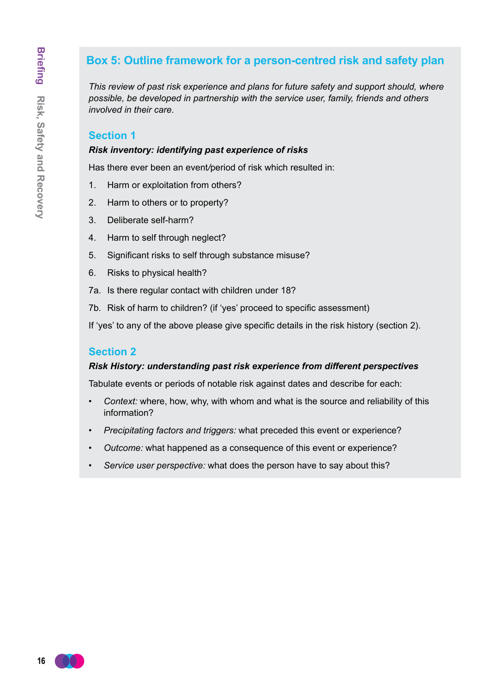#### **Box 5: Outline framework for a person-centred risk and safety plan**

*This review of past risk experience and plans for future safety and support should, where possible, be developed in partnership with the service user, family, friends and others involved in their care.*

#### **Section 1**

#### *Risk inventory: identifying past experience of risks*

Has there ever been an event*/*period of risk which resulted in:

- 1. Harm or exploitation from others?
- 2. Harm to others or to property?
- 3. Deliberate self-harm?
- 4. Harm to self through neglect?
- 5. Significant risks to self through substance misuse?
- 6. Risks to physical health?
- 7a. Is there regular contact with children under 18?
- 7b. Risk of harm to children? (if 'yes' proceed to specific assessment)

If 'yes' to any of the above please give specific details in the risk history (section 2).

#### **Section 2**

#### *Risk History: understanding past risk experience from different perspectives*

Tabulate events or periods of notable risk against dates and describe for each:

- *Context:* where, how, why, with whom and what is the source and reliability of this information?
- *Precipitating factors and triggers:* what preceded this event or experience?
- *Outcome:* what happened as a consequence of this event or experience?
- *Service user perspective:* what does the person have to say about this?

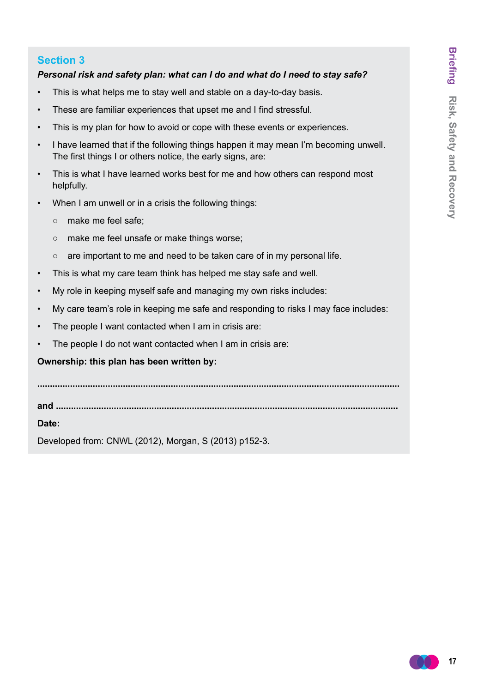#### **Section 3**

#### *Personal risk and safety plan: what can I do and what do I need to stay safe?*

- This is what helps me to stay well and stable on a day-to-day basis.
- These are familiar experiences that upset me and I find stressful.
- This is my plan for how to avoid or cope with these events or experiences.
- I have learned that if the following things happen it may mean I'm becoming unwell. The first things I or others notice, the early signs, are:
- This is what I have learned works best for me and how others can respond most helpfully.
- When I am unwell or in a crisis the following things:
	- make me feel safe;
	- make me feel unsafe or make things worse;
	- are important to me and need to be taken care of in my personal life.
- This is what my care team think has helped me stay safe and well.
- My role in keeping myself safe and managing my own risks includes:
- My care team's role in keeping me safe and responding to risks I may face includes:
- The people I want contacted when I am in crisis are:
- The people I do not want contacted when I am in crisis are:

#### **Ownership: this plan has been written by:**

**................................................................................................................................................**

**and ........................................................................................................................................**

**Date:**

Developed from: CNWL (2012), Morgan, S (2013) p152-3.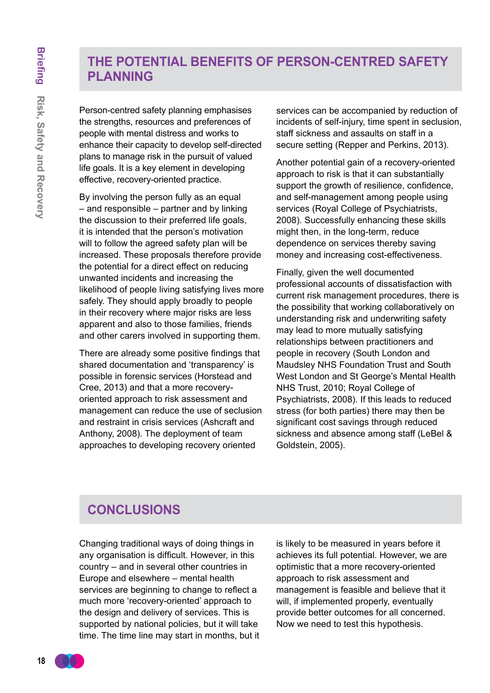## **THE POTENTIAL BENEFITS OF PERSON-CENTRED SAFETY PLANNING**

Person-centred safety planning emphasises the strengths, resources and preferences of people with mental distress and works to enhance their capacity to develop self-directed plans to manage risk in the pursuit of valued life goals. It is a key element in developing effective, recovery-oriented practice.

By involving the person fully as an equal – and responsible – partner and by linking the discussion to their preferred life goals, it is intended that the person's motivation will to follow the agreed safety plan will be increased. These proposals therefore provide the potential for a direct effect on reducing unwanted incidents and increasing the likelihood of people living satisfying lives more safely. They should apply broadly to people in their recovery where major risks are less apparent and also to those families, friends and other carers involved in supporting them.

There are already some positive findings that shared documentation and 'transparency' is possible in forensic services (Horstead and Cree, 2013) and that a more recoveryoriented approach to risk assessment and management can reduce the use of seclusion and restraint in crisis services (Ashcraft and Anthony, 2008). The deployment of team approaches to developing recovery oriented

services can be accompanied by reduction of incidents of self-injury, time spent in seclusion, staff sickness and assaults on staff in a secure setting (Repper and Perkins, 2013).

Another potential gain of a recovery-oriented approach to risk is that it can substantially support the growth of resilience, confidence, and self-management among people using services (Royal College of Psychiatrists, 2008). Successfully enhancing these skills might then, in the long-term, reduce dependence on services thereby saving money and increasing cost-effectiveness.

Finally, given the well documented professional accounts of dissatisfaction with current risk management procedures, there is the possibility that working collaboratively on understanding risk and underwriting safety may lead to more mutually satisfying relationships between practitioners and people in recovery (South London and Maudsley NHS Foundation Trust and South West London and St George's Mental Health NHS Trust, 2010; Royal College of Psychiatrists, 2008). If this leads to reduced stress (for both parties) there may then be significant cost savings through reduced sickness and absence among staff (LeBel & Goldstein, 2005).

## **CONCLUSIONS**

Changing traditional ways of doing things in any organisation is difficult. However, in this country – and in several other countries in Europe and elsewhere – mental health services are beginning to change to reflect a much more 'recovery-oriented' approach to the design and delivery of services. This is supported by national policies, but it will take time. The time line may start in months, but it

is likely to be measured in years before it achieves its full potential. However, we are optimistic that a more recovery-oriented approach to risk assessment and management is feasible and believe that it will, if implemented properly, eventually provide better outcomes for all concerned. Now we need to test this hypothesis.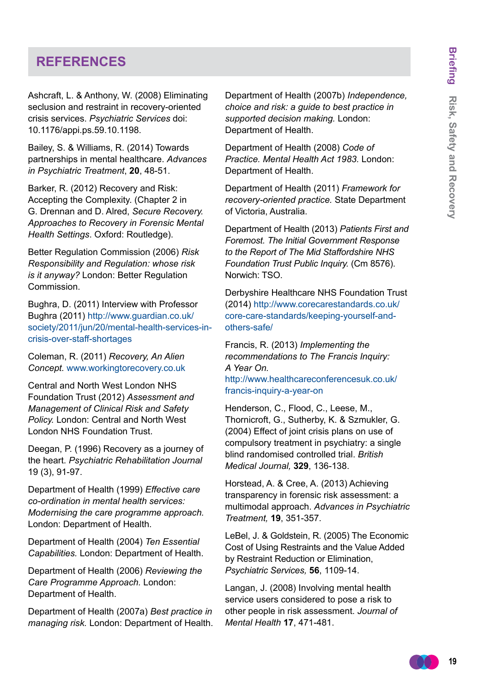## **REFERENCES**

Ashcraft, L. & Anthony, W. (2008) Eliminating seclusion and restraint in recovery-oriented crisis services. *Psychiatric Services* doi: 10.1176/appi.ps.59.10.1198.

Bailey, S. & Williams, R. (2014) Towards partnerships in mental healthcare. *Advances in Psychiatric Treatment*, **20**, 48-51.

Barker, R. (2012) Recovery and Risk: Accepting the Complexity. (Chapter 2 in G. Drennan and D. Alred, *Secure Recovery. Approaches to Recovery in Forensic Mental Health Settings*. Oxford: Routledge).

Better Regulation Commission (2006) *Risk Responsibility and Regulation: whose risk is it anyway?* London: Better Regulation Commission.

Bughra, D. (2011) Interview with Professor Bughra (2011) [http://www.guardian.co.uk/](http://www.guardian.co.uk/society/2011/jun/20/mental-health-services-in-crisis-over-staff-shortages) [society/2011/jun/20/mental-health-services-in](http://www.guardian.co.uk/society/2011/jun/20/mental-health-services-in-crisis-over-staff-shortages)[crisis-over-staff-shortages](http://www.guardian.co.uk/society/2011/jun/20/mental-health-services-in-crisis-over-staff-shortages)

Coleman, R. (2011) *Recovery, An Alien Concept.* www.workingtorecovery.co.uk

Central and North West London NHS Foundation Trust (2012) *Assessment and Management of Clinical Risk and Safety Policy.* London: Central and North West London NHS Foundation Trust.

Deegan, P. (1996) Recovery as a journey of the heart. *Psychiatric Rehabilitation Journal*  19 (3), 91-97.

Department of Health (1999) *Effective care co-ordination in mental health services: Modernising the care programme approach.*  London: Department of Health.

Department of Health (2004) *Ten Essential Capabilities.* London: Department of Health.

Department of Health (2006) *Reviewing the Care Programme Approach.* London: Department of Health.

Department of Health (2007a) *Best practice in managing risk.* London: Department of Health. Department of Health (2007b) *Independence, choice and risk: a guide to best practice in supported decision making.* London: Department of Health.

Department of Health (2008) *Code of Practice. Mental Health Act 1983.* London: Department of Health.

Department of Health (2011) *Framework for recovery-oriented practice.* State Department of Victoria, Australia.

Department of Health (2013) *Patients First and Foremost. The Initial Government Response to the Report of The Mid Staffordshire NHS Foundation Trust Public Inquiry.* (Cm 8576). Norwich: TSO.

Derbyshire Healthcare NHS Foundation Trust (2014) [http://www.corecarestandards.co.uk/](http://www.corecarestandards.co.uk/core-care-standards/keeping-yourself-and-others-safe/) [core-care-standards/keeping-yourself-and](http://www.corecarestandards.co.uk/core-care-standards/keeping-yourself-and-others-safe/)[others-safe/](http://www.corecarestandards.co.uk/core-care-standards/keeping-yourself-and-others-safe/)

Francis, R. (2013) *Implementing the recommendations to The Francis Inquiry: A Year On.* 

[http://www.healthcareconferencesuk.co.uk/](http://www.healthcareconferencesuk.co.uk/francis-inquiry-a-year-on) [francis-inquiry-a-year-on](http://www.healthcareconferencesuk.co.uk/francis-inquiry-a-year-on)

Henderson, C., Flood, C., Leese, M., Thornicroft, G., Sutherby, K. & Szmukler, G. (2004) Effect of joint crisis plans on use of compulsory treatment in psychiatry: a single blind randomised controlled trial. *British Medical Journal,* **329**, 136-138.

Horstead, A. & Cree, A. (2013) Achieving transparency in forensic risk assessment: a multimodal approach. *Advances in Psychiatric Treatment,* **19**, 351-357.

LeBel, J. & Goldstein, R. (2005) The Economic Cost of Using Restraints and the Value Added by Restraint Reduction or Elimination, *Psychiatric Services,* **56**, 1109-14.

Langan, J. (2008) Involving mental health service users considered to pose a risk to other people in risk assessment. *Journal of Mental Health* **17**, 471-481.

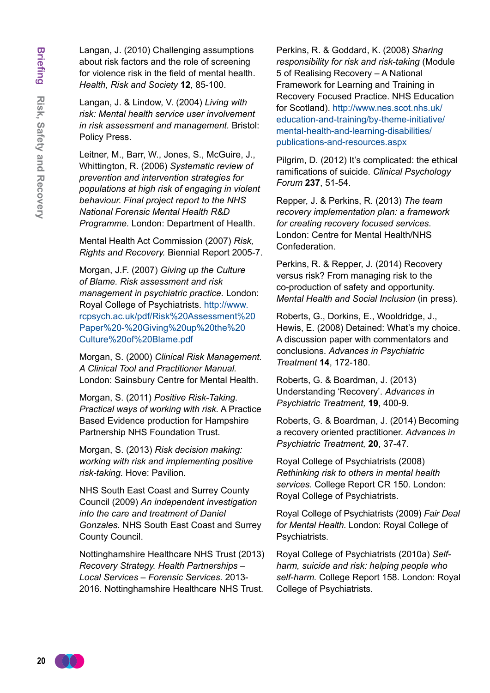Langan, J. (2010) Challenging assumptions about risk factors and the role of screening for violence risk in the field of mental health. *Health, Risk and Society* **12**, 85-100.

Langan, J. & Lindow, V. (2004) *Living with risk: Mental health service user involvement in risk assessment and management.* Bristol: Policy Press.

Leitner, M., Barr, W., Jones, S., McGuire, J., Whittington, R. (2006) *Systematic review of prevention and intervention strategies for populations at high risk of engaging in violent behaviour. Final project report to the NHS National Forensic Mental Health R&D Programme.* London: Department of Health.

Mental Health Act Commission (2007) *Risk, Rights and Recovery.* Biennial Report 2005-7.

Morgan, J.F. (2007) *Giving up the Culture of Blame. Risk assessment and risk management in psychiatric practice.* London: Royal College of Psychiatrists. [http://www.](http://www.rcpsych.ac.uk/pdf/Risk%20Assessment%20Paper%20-%20Giving%20up%20the%20Culture%20of%20Blame.pdf) [rcpsych.ac.uk/pdf/Risk%20Assessment%20](http://www.rcpsych.ac.uk/pdf/Risk%20Assessment%20Paper%20-%20Giving%20up%20the%20Culture%20of%20Blame.pdf) [Paper%20-%20Giving%20up%20the%20](http://www.rcpsych.ac.uk/pdf/Risk%20Assessment%20Paper%20-%20Giving%20up%20the%20Culture%20of%20Blame.pdf) [Culture%20of%20Blame.pdf](http://www.rcpsych.ac.uk/pdf/Risk%20Assessment%20Paper%20-%20Giving%20up%20the%20Culture%20of%20Blame.pdf)

Morgan, S. (2000) *Clinical Risk Management. A Clinical Tool and Practitioner Manual.* London: Sainsbury Centre for Mental Health.

Morgan, S. (2011) *Positive Risk-Taking. Practical ways of working with risk.* A Practice Based Evidence production for Hampshire Partnership NHS Foundation Trust.

Morgan, S. (2013) *Risk decision making: working with risk and implementing positive risk-taking.* Hove: Pavilion.

NHS South East Coast and Surrey County Council (2009) *An independent investigation into the care and treatment of Daniel Gonzales.* NHS South East Coast and Surrey County Council.

Nottinghamshire Healthcare NHS Trust (2013) *Recovery Strategy. Health Partnerships – Local Services – Forensic Services.* 2013- 2016. Nottinghamshire Healthcare NHS Trust.

Perkins, R. & Goddard, K. (2008) *Sharing responsibility for risk and risk-taking* (Module 5 of Realising Recovery – A National Framework for Learning and Training in Recovery Focused Practice. NHS Education for Scotland). [http://www.nes.scot.nhs.uk/](http://www.nes.scot.nhs.uk/education-and-training/by-theme-initiative/mental-health-and-learning-disabilities/publications-and-resources.aspx) [education-and-training/by-theme-initiative/](http://www.nes.scot.nhs.uk/education-and-training/by-theme-initiative/mental-health-and-learning-disabilities/publications-and-resources.aspx) [mental-health-and-learning-disabilities/](http://www.nes.scot.nhs.uk/education-and-training/by-theme-initiative/mental-health-and-learning-disabilities/publications-and-resources.aspx) [publications-and-resources.aspx](http://www.nes.scot.nhs.uk/education-and-training/by-theme-initiative/mental-health-and-learning-disabilities/publications-and-resources.aspx)

Pilgrim, D. (2012) It's complicated: the ethical ramifications of suicide. *Clinical Psychology Forum* **237**, 51-54.

Repper, J. & Perkins, R. (2013) *The team recovery implementation plan: a framework for creating recovery focused services.* London: Centre for Mental Health/NHS Confederation.

Perkins, R. & Repper, J. (2014) Recovery versus risk? From managing risk to the co-production of safety and opportunity. *Mental Health and Social Inclusion* (in press).

Roberts, G., Dorkins, E., Wooldridge, J., Hewis, E. (2008) Detained: What's my choice. A discussion paper with commentators and conclusions. *Advances in Psychiatric Treatment* **14**, 172-180.

Roberts, G. & Boardman, J. (2013) Understanding 'Recovery'. *Advances in Psychiatric Treatment,* **19**, 400-9.

Roberts, G. & Boardman, J. (2014) Becoming a recovery oriented practitioner. *Advances in Psychiatric Treatment,* **20**, 37-47.

Royal College of Psychiatrists (2008) *Rethinking risk to others in mental health services.* College Report CR 150. London: Royal College of Psychiatrists.

Royal College of Psychiatrists (2009) *Fair Deal for Mental Health.* London: Royal College of Psychiatrists.

Royal College of Psychiatrists (2010a) *Selfharm, suicide and risk: helping people who self-harm.* College Report 158. London: Royal College of Psychiatrists.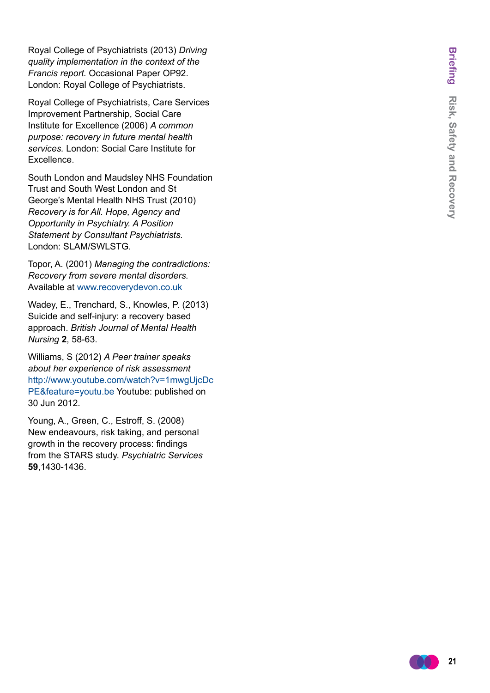Royal College of Psychiatrists (2013) *Driving quality implementation in the context of the Francis report.* Occasional Paper OP92. London: Royal College of Psychiatrists.

Royal College of Psychiatrists, Care Services Improvement Partnership, Social Care Institute for Excellence (2006) *A common purpose: recovery in future mental health services.* London: Social Care Institute for Excellence.

South London and Maudsley NHS Foundation Trust and South West London and St George's Mental Health NHS Trust (2010) *Recovery is for All. Hope, Agency and Opportunity in Psychiatry. A Position Statement by Consultant Psychiatrists.* London: SLAM/SWLSTG.

Topor, A. (2001) *Managing the contradictions: Recovery from severe mental disorders.* Available at <www.recoverydevon.co.uk>

Wadey, E., Trenchard, S., Knowles, P. (2013) Suicide and self-injury: a recovery based approach. *British Journal of Mental Health Nursing* **2**, 58-63.

Williams, S (2012) *A Peer trainer speaks about her experience of risk assessment*  [http://www.youtube.com/watch?v=1mwgUjcDc](http://www.youtube.com/watch?v=1mwgUjcDcPE&feature=youtube) [PE&feature=youtu.be](http://www.youtube.com/watch?v=1mwgUjcDcPE&feature=youtube) Youtube: published on 30 Jun 2012.

Young, A., Green, C., Estroff, S. (2008) New endeavours, risk taking, and personal growth in the recovery process: findings from the STARS study. *Psychiatric Services*  **59**,1430-1436.